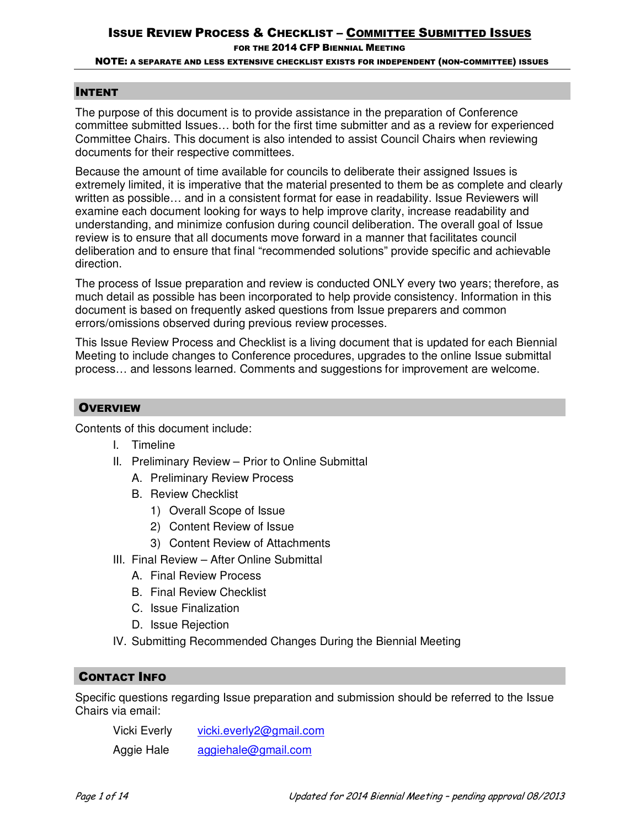FOR THE 2014 CFP BIENNIAL MEETING

#### NOTE: A SEPARATE AND LESS EXTENSIVE CHECKLIST EXISTS FOR INDEPENDENT (NON-COMMITTEE) ISSUES

### INTENT

The purpose of this document is to provide assistance in the preparation of Conference committee submitted Issues… both for the first time submitter and as a review for experienced Committee Chairs. This document is also intended to assist Council Chairs when reviewing documents for their respective committees.

Because the amount of time available for councils to deliberate their assigned Issues is extremely limited, it is imperative that the material presented to them be as complete and clearly written as possible… and in a consistent format for ease in readability. Issue Reviewers will examine each document looking for ways to help improve clarity, increase readability and understanding, and minimize confusion during council deliberation. The overall goal of Issue review is to ensure that all documents move forward in a manner that facilitates council deliberation and to ensure that final "recommended solutions" provide specific and achievable direction.

The process of Issue preparation and review is conducted ONLY every two years; therefore, as much detail as possible has been incorporated to help provide consistency. Information in this document is based on frequently asked questions from Issue preparers and common errors/omissions observed during previous review processes.

This Issue Review Process and Checklist is a living document that is updated for each Biennial Meeting to include changes to Conference procedures, upgrades to the online Issue submittal process… and lessons learned. Comments and suggestions for improvement are welcome.

### **OVERVIEW**

Contents of this document include:

- I. Timeline
- II. Preliminary Review Prior to Online Submittal
	- A. Preliminary Review Process
	- B. Review Checklist
		- 1) Overall Scope of Issue
		- 2) Content Review of Issue
		- 3) Content Review of Attachments
- III. Final Review After Online Submittal
	- A. Final Review Process
	- B. Final Review Checklist
	- C. Issue Finalization
	- D. Issue Rejection
- IV. Submitting Recommended Changes During the Biennial Meeting

### CONTACT INFO

Specific questions regarding Issue preparation and submission should be referred to the Issue Chairs via email:

 Vicki Everly vicki.everly2@gmail.com Aggie Hale aggiehale@gmail.com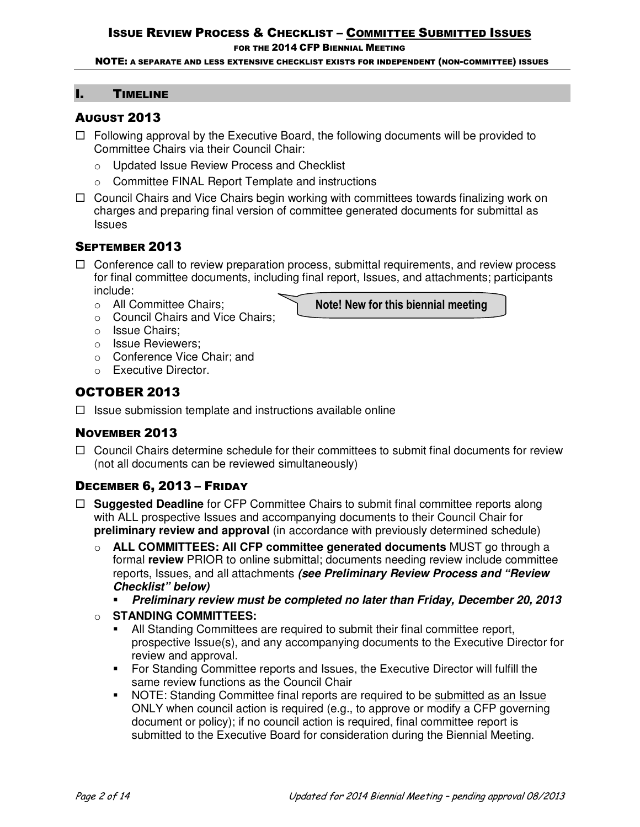FOR THE 2014 CFP BIENNIAL MEETING

NOTE: A SEPARATE AND LESS EXTENSIVE CHECKLIST EXISTS FOR INDEPENDENT (NON-COMMITTEE) ISSUES

### I. TIMELINE

## AUGUST 2013

- $\Box$  Following approval by the Executive Board, the following documents will be provided to Committee Chairs via their Council Chair:
	- o Updated Issue Review Process and Checklist
	- o Committee FINAL Report Template and instructions
- $\Box$  Council Chairs and Vice Chairs begin working with committees towards finalizing work on charges and preparing final version of committee generated documents for submittal as Issues

# SEPTEMBER 2013

 $\Box$  Conference call to review preparation process, submittal requirements, and review process for final committee documents, including final report, Issues, and attachments; participants include:

**Note! New for this biennial meeting** 

- o All Committee Chairs;
- o Council Chairs and Vice Chairs;
- o Issue Chairs;
- o Issue Reviewers;
- o Conference Vice Chair; and
- o Executive Director.

# OCTOBER 2013

 $\Box$  Issue submission template and instructions available online

# NOVEMBER 2013

 $\Box$  Council Chairs determine schedule for their committees to submit final documents for review (not all documents can be reviewed simultaneously)

# DECEMBER 6, 2013 – FRIDAY

- □ **Suggested Deadline** for CFP Committee Chairs to submit final committee reports along with ALL prospective Issues and accompanying documents to their Council Chair for **preliminary review and approval** (in accordance with previously determined schedule)
	- o **ALL COMMITTEES: All CFP committee generated documents** MUST go through a formal **review** PRIOR to online submittal; documents needing review include committee reports, Issues, and all attachments *(see Preliminary Review Process and "Review Checklist" below)*
		- -*Preliminary review must be completed no later than Friday, December 20, 2013*

## o **STANDING COMMITTEES:**

- - All Standing Committees are required to submit their final committee report, prospective Issue(s), and any accompanying documents to the Executive Director for review and approval.
- **For Standing Committee reports and Issues, the Executive Director will fulfill the** same review functions as the Council Chair
- - NOTE: Standing Committee final reports are required to be submitted as an Issue ONLY when council action is required (e.g., to approve or modify a CFP governing document or policy); if no council action is required, final committee report is submitted to the Executive Board for consideration during the Biennial Meeting.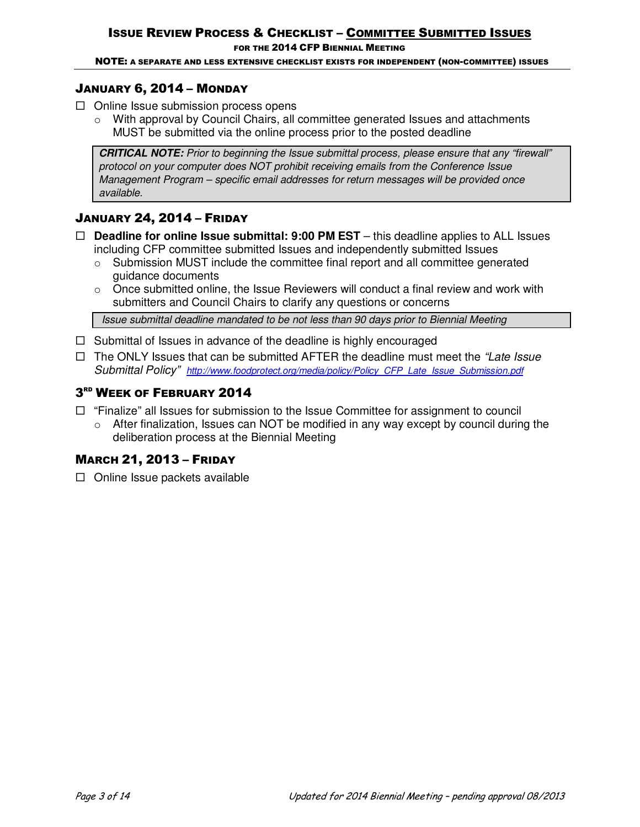FOR THE 2014 CFP BIENNIAL MEETING

NOTE: A SEPARATE AND LESS EXTENSIVE CHECKLIST EXISTS FOR INDEPENDENT (NON-COMMITTEE) ISSUES

# JANUARY 6, 2014 – MONDAY

- $\Box$  Online Issue submission process opens
	- $\circ$  With approval by Council Chairs, all committee generated Issues and attachments MUST be submitted via the online process prior to the posted deadline

*CRITICAL NOTE: Prior to beginning the Issue submittal process, please ensure that any "firewall" protocol on your computer does NOT prohibit receiving emails from the Conference Issue Management Program – specific email addresses for return messages will be provided once available.* 

# JANUARY 24, 2014 – FRIDAY

- **Deadline for online Issue submittal: 9:00 PM EST** this deadline applies to ALL Issues including CFP committee submitted Issues and independently submitted Issues
	- $\circ$  Submission MUST include the committee final report and all committee generated guidance documents
	- $\circ$  Once submitted online, the Issue Reviewers will conduct a final review and work with submitters and Council Chairs to clarify any questions or concerns

 *Issue submittal deadline mandated to be not less than 90 days prior to Biennial Meeting* 

- $\Box$  Submittal of Issues in advance of the deadline is highly encouraged
- The ONLY Issues that can be submitted AFTER the deadline must meet the *"Late Issue Submittal Policy" http://www.foodprotect.org/media/policy/Policy\_CFP\_Late\_Issue\_Submission.pdf*

# 3 RD WEEK OF FEBRUARY 2014

- $\Box$  "Finalize" all Issues for submission to the Issue Committee for assignment to council
	- $\circ$  After finalization, Issues can NOT be modified in any way except by council during the deliberation process at the Biennial Meeting

# MARCH 21, 2013 – FRIDAY

 $\Box$  Online Issue packets available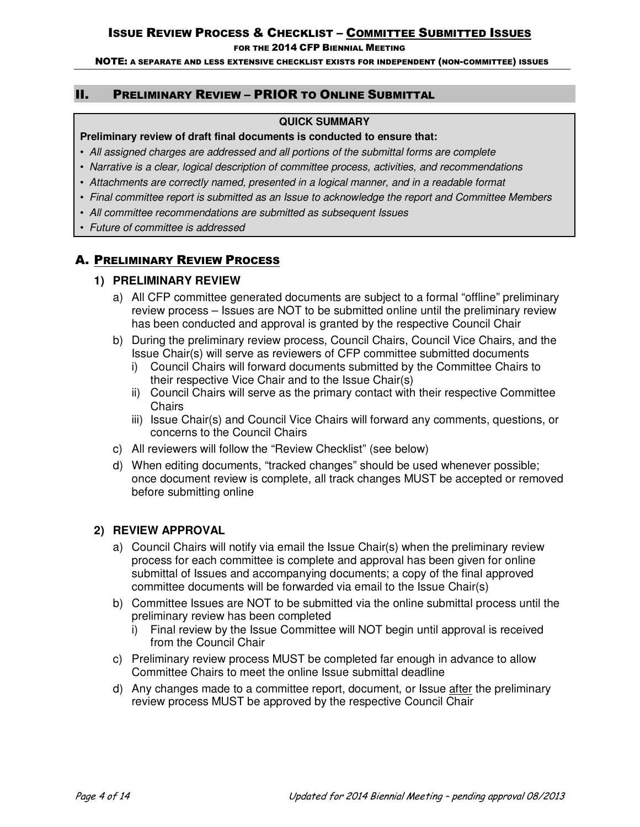FOR THE 2014 CFP BIENNIAL MEETING

NOTE: A SEPARATE AND LESS EXTENSIVE CHECKLIST EXISTS FOR INDEPENDENT (NON-COMMITTEE) ISSUES

### II. PRELIMINARY REVIEW – PRIOR TO ONLINE SUBMITTAL

### **QUICK SUMMARY**

### **Preliminary review of draft final documents is conducted to ensure that:**

- *All assigned charges are addressed and all portions of the submittal forms are complete*
- *Narrative is a clear, logical description of committee process, activities, and recommendations*
- *Attachments are correctly named, presented in a logical manner, and in a readable format*
- *Final committee report is submitted as an Issue to acknowledge the report and Committee Members*
- *All committee recommendations are submitted as subsequent Issues*
- *Future of committee is addressed*

# A. PRELIMINARY REVIEW PROCESS

### **1) PRELIMINARY REVIEW**

- a) All CFP committee generated documents are subject to a formal "offline" preliminary review process – Issues are NOT to be submitted online until the preliminary review has been conducted and approval is granted by the respective Council Chair
- b) During the preliminary review process, Council Chairs, Council Vice Chairs, and the Issue Chair(s) will serve as reviewers of CFP committee submitted documents
	- i) Council Chairs will forward documents submitted by the Committee Chairs to their respective Vice Chair and to the Issue Chair(s)
	- ii) Council Chairs will serve as the primary contact with their respective Committee **Chairs**
	- iii) Issue Chair(s) and Council Vice Chairs will forward any comments, questions, or concerns to the Council Chairs
- c) All reviewers will follow the "Review Checklist" (see below)
- d) When editing documents, "tracked changes" should be used whenever possible; once document review is complete, all track changes MUST be accepted or removed before submitting online

### **2) REVIEW APPROVAL**

- a) Council Chairs will notify via email the Issue Chair(s) when the preliminary review process for each committee is complete and approval has been given for online submittal of Issues and accompanying documents; a copy of the final approved committee documents will be forwarded via email to the Issue Chair(s)
- b) Committee Issues are NOT to be submitted via the online submittal process until the preliminary review has been completed
	- i) Final review by the Issue Committee will NOT begin until approval is received from the Council Chair
- c) Preliminary review process MUST be completed far enough in advance to allow Committee Chairs to meet the online Issue submittal deadline
- d) Any changes made to a committee report, document, or Issue after the preliminary review process MUST be approved by the respective Council Chair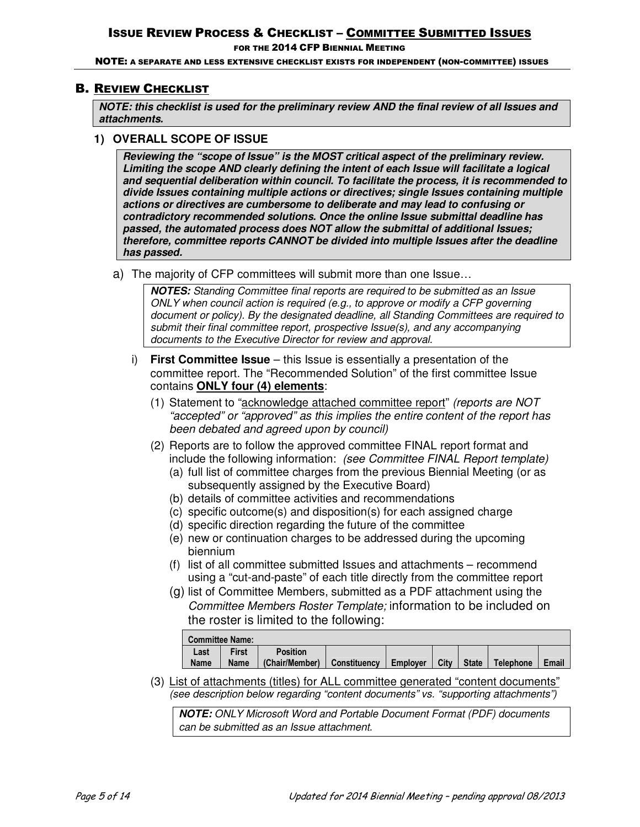FOR THE 2014 CFP BIENNIAL MEETING

NOTE: A SEPARATE AND LESS EXTENSIVE CHECKLIST EXISTS FOR INDEPENDENT (NON-COMMITTEE) ISSUES

### B. REVIEW CHECKLIST

*NOTE: this checklist is used for the preliminary review AND the final review of all Issues and attachments.* 

### **1) OVERALL SCOPE OF ISSUE**

*Reviewing the "scope of Issue" is the MOST critical aspect of the preliminary review. Limiting the scope AND clearly defining the intent of each Issue will facilitate a logical and sequential deliberation within council. To facilitate the process, it is recommended to divide Issues containing multiple actions or directives; single Issues containing multiple actions or directives are cumbersome to deliberate and may lead to confusing or contradictory recommended solutions. Once the online Issue submittal deadline has passed, the automated process does NOT allow the submittal of additional Issues; therefore, committee reports CANNOT be divided into multiple Issues after the deadline has passed.*

a) The majority of CFP committees will submit more than one Issue…

*NOTES: Standing Committee final reports are required to be submitted as an Issue ONLY when council action is required (e.g., to approve or modify a CFP governing document or policy). By the designated deadline, all Standing Committees are required to submit their final committee report, prospective Issue(s), and any accompanying documents to the Executive Director for review and approval.*

- i) **First Committee Issue** this Issue is essentially a presentation of the committee report. The "Recommended Solution" of the first committee Issue contains **ONLY four (4) elements**:
	- (1) Statement to "acknowledge attached committee report" *(reports are NOT "accepted" or "approved" as this implies the entire content of the report has been debated and agreed upon by council)*
	- (2) Reports are to follow the approved committee FINAL report format and include the following information: *(see Committee FINAL Report template)*
		- (a) full list of committee charges from the previous Biennial Meeting (or as subsequently assigned by the Executive Board)
		- (b) details of committee activities and recommendations
		- (c) specific outcome(s) and disposition(s) for each assigned charge
		- (d) specific direction regarding the future of the committee
		- (e) new or continuation charges to be addressed during the upcoming biennium
		- (f) list of all committee submitted Issues and attachments recommend using a "cut-and-paste" of each title directly from the committee report
		- (g) list of Committee Members, submitted as a PDF attachment using the *Committee Members Roster Template;* information to be included on the roster is limited to the following:

| <b>Committee Name:</b> |              |                               |  |          |  |              |           |       |
|------------------------|--------------|-------------------------------|--|----------|--|--------------|-----------|-------|
| Last                   | <b>First</b> | <b>Position</b>               |  |          |  |              |           |       |
| <b>Name</b>            | <b>Name</b>  | (Chair/Member)   Constituency |  | Emplover |  | $City$ State | Telephone | Email |

(3) List of attachments (titles) for ALL committee generated "content documents" *(see description below regarding "content documents" vs. "supporting attachments")*

*NOTE: ONLY Microsoft Word and Portable Document Format (PDF) documents can be submitted as an Issue attachment.*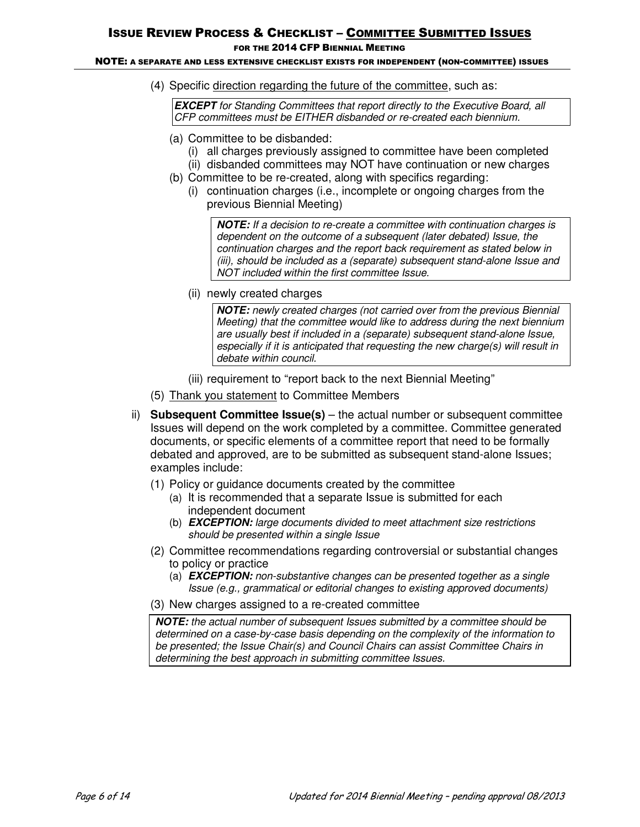FOR THE 2014 CFP BIENNIAL MEETING

#### NOTE: A SEPARATE AND LESS EXTENSIVE CHECKLIST EXISTS FOR INDEPENDENT (NON-COMMITTEE) ISSUES

(4) Specific direction regarding the future of the committee, such as:

*EXCEPT for Standing Committees that report directly to the Executive Board, all CFP committees must be EITHER disbanded or re-created each biennium.* 

- (a) Committee to be disbanded:
	- (i) all charges previously assigned to committee have been completed
	- (ii) disbanded committees may NOT have continuation or new charges
- (b) Committee to be re-created, along with specifics regarding:
	- (i) continuation charges (i.e., incomplete or ongoing charges from the previous Biennial Meeting)

*NOTE: If a decision to re-create a committee with continuation charges is dependent on the outcome of a subsequent (later debated) Issue, the continuation charges and the report back requirement as stated below in (iii), should be included as a (separate) subsequent stand-alone Issue and NOT included within the first committee Issue.*

(ii) newly created charges

*NOTE: newly created charges (not carried over from the previous Biennial Meeting) that the committee would like to address during the next biennium are usually best if included in a (separate) subsequent stand-alone Issue, especially if it is anticipated that requesting the new charge(s) will result in debate within council.* 

(iii) requirement to "report back to the next Biennial Meeting"

- (5) Thank you statement to Committee Members
- ii) **Subsequent Committee Issue(s)** the actual number or subsequent committee Issues will depend on the work completed by a committee. Committee generated documents, or specific elements of a committee report that need to be formally debated and approved, are to be submitted as subsequent stand-alone Issues; examples include:
	- (1) Policy or guidance documents created by the committee
		- (a) It is recommended that a separate Issue is submitted for each independent document
		- (b) *EXCEPTION: large documents divided to meet attachment size restrictions should be presented within a single Issue*
	- (2) Committee recommendations regarding controversial or substantial changes to policy or practice
		- (a) *EXCEPTION: non-substantive changes can be presented together as a single Issue (e.g., grammatical or editorial changes to existing approved documents)*
	- (3) New charges assigned to a re-created committee

*NOTE: the actual number of subsequent Issues submitted by a committee should be determined on a case-by-case basis depending on the complexity of the information to be presented; the Issue Chair(s) and Council Chairs can assist Committee Chairs in determining the best approach in submitting committee Issues.*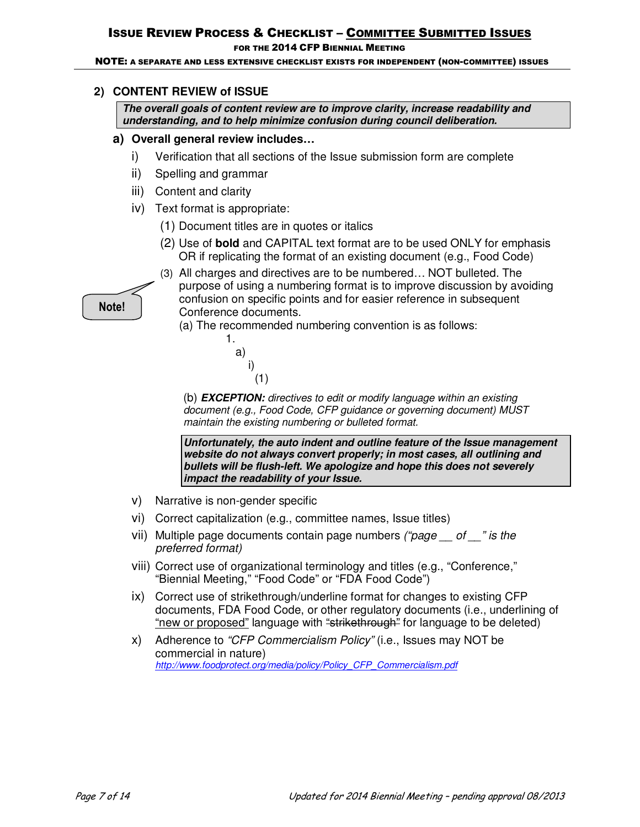### FOR THE 2014 CFP BIENNIAL MEETING

NOTE: A SEPARATE AND LESS EXTENSIVE CHECKLIST EXISTS FOR INDEPENDENT (NON-COMMITTEE) ISSUES

# **2) CONTENT REVIEW of ISSUE**

*The overall goals of content review are to improve clarity, increase readability and understanding, and to help minimize confusion during council deliberation.* 

## **a) Overall general review includes…**

- i) Verification that all sections of the Issue submission form are complete
- ii) Spelling and grammar
- iii) Content and clarity
- iv) Text format is appropriate:
	- (1) Document titles are in quotes or italics
	- (2) Use of **bold** and CAPITAL text format are to be used ONLY for emphasis OR if replicating the format of an existing document (e.g., Food Code)
- **Note!**

(3) All charges and directives are to be numbered… NOT bulleted. The purpose of using a numbering format is to improve discussion by avoiding confusion on specific points and for easier reference in subsequent Conference documents.

(a) The recommended numbering convention is as follows:

 a) i) (1)

1.

(b) *EXCEPTION: directives to edit or modify language within an existing document (e.g., Food Code, CFP guidance or governing document) MUST maintain the existing numbering or bulleted format.* 

*Unfortunately, the auto indent and outline feature of the Issue management website do not always convert properly; in most cases, all outlining and bullets will be flush-left. We apologize and hope this does not severely impact the readability of your Issue.* 

- v) Narrative is non-gender specific
- vi) Correct capitalization (e.g., committee names, Issue titles)
- vii) Multiple page documents contain page numbers *("page \_\_ of \_\_" is the preferred format)*
- viii) Correct use of organizational terminology and titles (e.g., "Conference," "Biennial Meeting," "Food Code" or "FDA Food Code")
- ix) Correct use of strikethrough/underline format for changes to existing CFP documents, FDA Food Code, or other regulatory documents (i.e., underlining of "new or proposed" language with "strikethrough" for language to be deleted)
- x) Adherence to *"CFP Commercialism Policy"* (i.e., Issues may NOT be commercial in nature) *http://www.foodprotect.org/media/policy/Policy\_CFP\_Commercialism.pdf*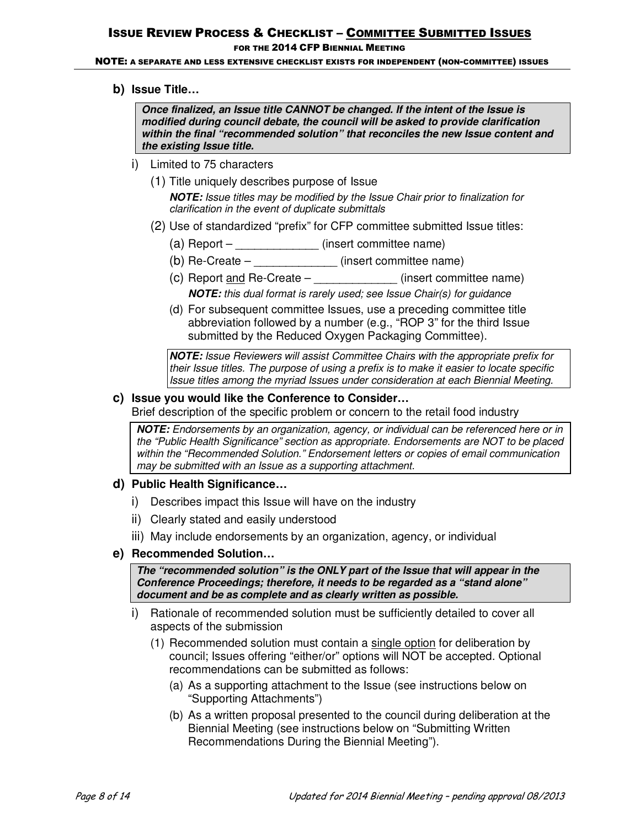### FOR THE 2014 CFP BIENNIAL MEETING

#### NOTE: A SEPARATE AND LESS EXTENSIVE CHECKLIST EXISTS FOR INDEPENDENT (NON-COMMITTEE) ISSUES

**b) Issue Title…**

*Once finalized, an Issue title CANNOT be changed. If the intent of the Issue is modified during council debate, the council will be asked to provide clarification within the final "recommended solution" that reconciles the new Issue content and the existing Issue title.* 

- i) Limited to 75 characters
	- (1) Title uniquely describes purpose of Issue

*NOTE: Issue titles may be modified by the Issue Chair prior to finalization for clarification in the event of duplicate submittals*

- (2) Use of standardized "prefix" for CFP committee submitted Issue titles:
	- (a) Report  $($ insert committee name)
	- (b) Re-Create \_\_\_\_\_\_\_\_\_\_\_\_\_ (insert committee name)
	- (c) Report and Re-Create  $\qquad (insert committeen)$ *NOTE: this dual format is rarely used; see Issue Chair(s) for guidance*
	- (d) For subsequent committee Issues, use a preceding committee title abbreviation followed by a number (e.g., "ROP 3" for the third Issue submitted by the Reduced Oxygen Packaging Committee).

*NOTE: Issue Reviewers will assist Committee Chairs with the appropriate prefix for their Issue titles. The purpose of using a prefix is to make it easier to locate specific Issue titles among the myriad Issues under consideration at each Biennial Meeting.* 

### **c) Issue you would like the Conference to Consider…**

Brief description of the specific problem or concern to the retail food industry

*NOTE: Endorsements by an organization, agency, or individual can be referenced here or in the "Public Health Significance" section as appropriate. Endorsements are NOT to be placed within the "Recommended Solution." Endorsement letters or copies of email communication may be submitted with an Issue as a supporting attachment.*

- **d) Public Health Significance…** 
	- i) Describes impact this Issue will have on the industry
	- ii) Clearly stated and easily understood
	- iii) May include endorsements by an organization, agency, or individual
- **e) Recommended Solution…**

*The "recommended solution" is the ONLY part of the Issue that will appear in the Conference Proceedings; therefore, it needs to be regarded as a "stand alone" document and be as complete and as clearly written as possible.*

- i) Rationale of recommended solution must be sufficiently detailed to cover all aspects of the submission
	- (1) Recommended solution must contain a single option for deliberation by council; Issues offering "either/or" options will NOT be accepted. Optional recommendations can be submitted as follows:
		- (a) As a supporting attachment to the Issue (see instructions below on "Supporting Attachments")
		- (b) As a written proposal presented to the council during deliberation at the Biennial Meeting (see instructions below on "Submitting Written Recommendations During the Biennial Meeting").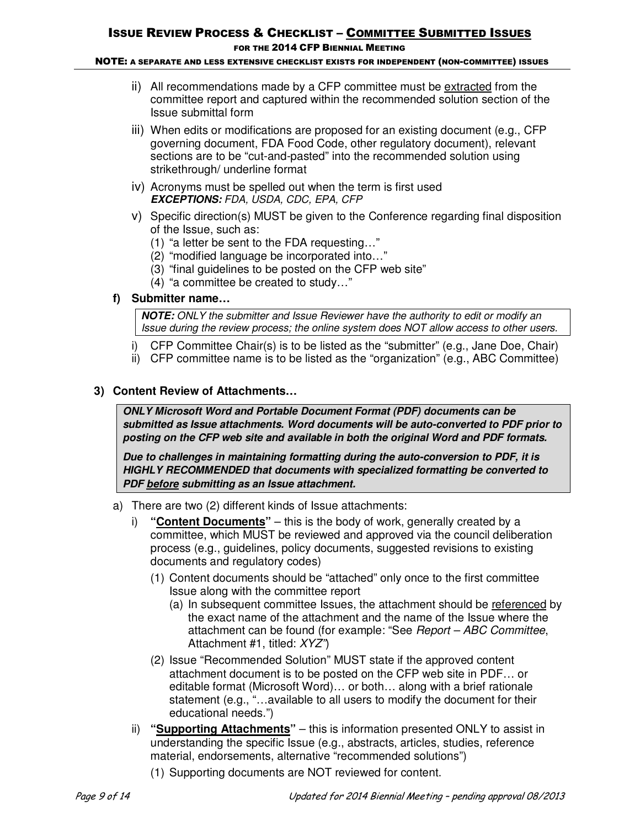#### NOTE: A SEPARATE AND LESS EXTENSIVE CHECKLIST EXISTS FOR INDEPENDENT (NON-COMMITTEE) ISSUES

- ii) All recommendations made by a CFP committee must be extracted from the committee report and captured within the recommended solution section of the Issue submittal form
- iii) When edits or modifications are proposed for an existing document (e.g., CFP governing document, FDA Food Code, other regulatory document), relevant sections are to be "cut-and-pasted" into the recommended solution using strikethrough/ underline format
- iv) Acronyms must be spelled out when the term is first used *EXCEPTIONS: FDA, USDA, CDC, EPA, CFP*
- v) Specific direction(s) MUST be given to the Conference regarding final disposition of the Issue, such as:
	- (1) "a letter be sent to the FDA requesting…"
	- (2) "modified language be incorporated into…"
	- (3) "final guidelines to be posted on the CFP web site"
	- (4) "a committee be created to study…"
- **f) Submitter name…**

*NOTE: ONLY the submitter and Issue Reviewer have the authority to edit or modify an Issue during the review process; the online system does NOT allow access to other users.* 

- i) CFP Committee Chair(s) is to be listed as the "submitter" (e.g., Jane Doe, Chair)
- ii) CFP committee name is to be listed as the "organization" (e.g., ABC Committee)

### **3) Content Review of Attachments…**

*ONLY Microsoft Word and Portable Document Format (PDF) documents can be submitted as Issue attachments. Word documents will be auto-converted to PDF prior to posting on the CFP web site and available in both the original Word and PDF formats.* 

*Due to challenges in maintaining formatting during the auto-conversion to PDF, it is HIGHLY RECOMMENDED that documents with specialized formatting be converted to PDF before submitting as an Issue attachment.* 

- a) There are two (2) different kinds of Issue attachments:
	- i) **"Content Documents"** this is the body of work, generally created by a committee, which MUST be reviewed and approved via the council deliberation process (e.g., guidelines, policy documents, suggested revisions to existing documents and regulatory codes)
		- (1) Content documents should be "attached" only once to the first committee Issue along with the committee report
			- (a) In subsequent committee Issues, the attachment should be referenced by the exact name of the attachment and the name of the Issue where the attachment can be found (for example: "See *Report – ABC Committee*, Attachment #1, titled: *XYZ"*)
		- (2) Issue "Recommended Solution" MUST state if the approved content attachment document is to be posted on the CFP web site in PDF… or editable format (Microsoft Word)… or both… along with a brief rationale statement (e.g., "…available to all users to modify the document for their educational needs.")
	- ii) **"Supporting Attachments"** this is information presented ONLY to assist in understanding the specific Issue (e.g., abstracts, articles, studies, reference material, endorsements, alternative "recommended solutions")
		- (1) Supporting documents are NOT reviewed for content.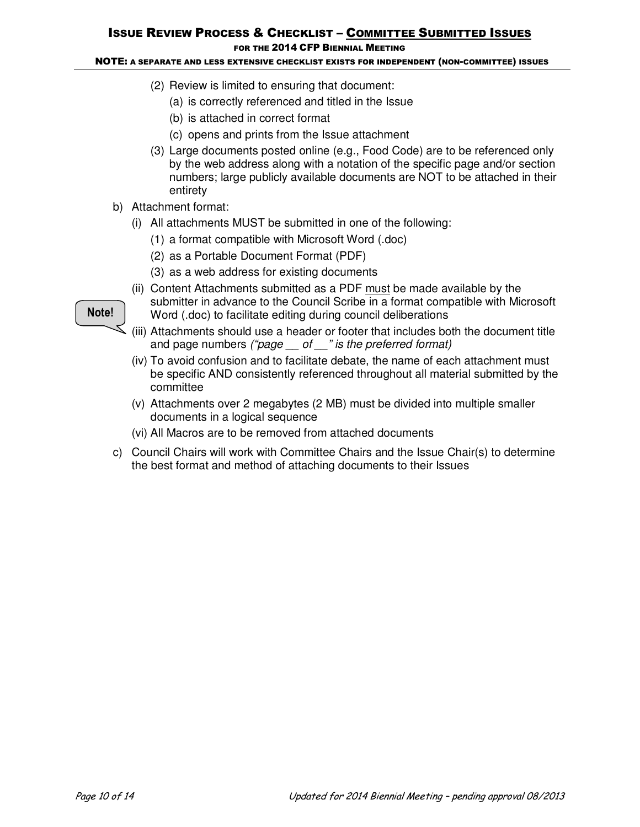FOR THE 2014 CFP BIENNIAL MEETING

### NOTE: A SEPARATE AND LESS EXTENSIVE CHECKLIST EXISTS FOR INDEPENDENT (NON-COMMITTEE) ISSUES

- (2) Review is limited to ensuring that document:
	- (a) is correctly referenced and titled in the Issue
	- (b) is attached in correct format
	- (c) opens and prints from the Issue attachment
- (3) Large documents posted online (e.g., Food Code) are to be referenced only by the web address along with a notation of the specific page and/or section numbers; large publicly available documents are NOT to be attached in their entirety
- b) Attachment format:
	- (i) All attachments MUST be submitted in one of the following:
		- (1) a format compatible with Microsoft Word (.doc)
		- (2) as a Portable Document Format (PDF)
		- (3) as a web address for existing documents
	- (ii) Content Attachments submitted as a PDF must be made available by the submitter in advance to the Council Scribe in a format compatible with Microsoft
		- Word (.doc) to facilitate editing during council deliberations
	- (iii) Attachments should use a header or footer that includes both the document title and page numbers *("page \_\_ of \_\_" is the preferred format)*
	- (iv) To avoid confusion and to facilitate debate, the name of each attachment must be specific AND consistently referenced throughout all material submitted by the committee
	- (v) Attachments over 2 megabytes (2 MB) must be divided into multiple smaller documents in a logical sequence
	- (vi) All Macros are to be removed from attached documents
- c) Council Chairs will work with Committee Chairs and the Issue Chair(s) to determine the best format and method of attaching documents to their Issues

### **Note!**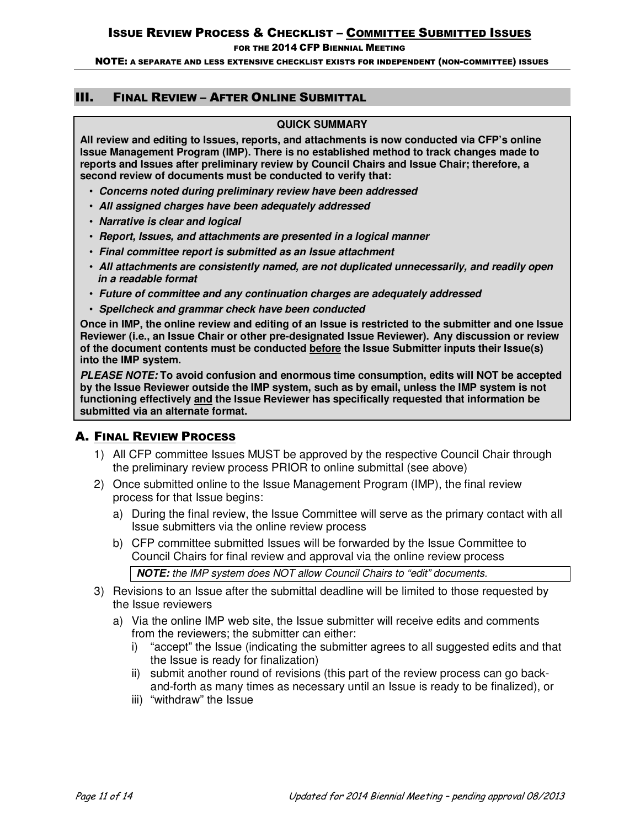FOR THE 2014 CFP BIENNIAL MEETING

NOTE: A SEPARATE AND LESS EXTENSIVE CHECKLIST EXISTS FOR INDEPENDENT (NON-COMMITTEE) ISSUES

### III. FINAL REVIEW – AFTER ONLINE SUBMITTAL

### **QUICK SUMMARY**

**All review and editing to Issues, reports, and attachments is now conducted via CFP's online Issue Management Program (IMP). There is no established method to track changes made to reports and Issues after preliminary review by Council Chairs and Issue Chair; therefore, a second review of documents must be conducted to verify that:** 

- *Concerns noted during preliminary review have been addressed*
- *All assigned charges have been adequately addressed*
- *Narrative is clear and logical*
- *Report, Issues, and attachments are presented in a logical manner*
- *Final committee report is submitted as an Issue attachment*
- *All attachments are consistently named, are not duplicated unnecessarily, and readily open in a readable format*
- *Future of committee and any continuation charges are adequately addressed*
- *Spellcheck and grammar check have been conducted*

**Once in IMP, the online review and editing of an Issue is restricted to the submitter and one Issue Reviewer (i.e., an Issue Chair or other pre-designated Issue Reviewer). Any discussion or review of the document contents must be conducted before the Issue Submitter inputs their Issue(s) into the IMP system.** 

*PLEASE NOTE:* **To avoid confusion and enormous time consumption, edits will NOT be accepted by the Issue Reviewer outside the IMP system, such as by email, unless the IMP system is not functioning effectively and the Issue Reviewer has specifically requested that information be submitted via an alternate format.**

## A. FINAL REVIEW PROCESS

- 1) All CFP committee Issues MUST be approved by the respective Council Chair through the preliminary review process PRIOR to online submittal (see above)
- 2) Once submitted online to the Issue Management Program (IMP), the final review process for that Issue begins:
	- a) During the final review, the Issue Committee will serve as the primary contact with all Issue submitters via the online review process
	- b) CFP committee submitted Issues will be forwarded by the Issue Committee to Council Chairs for final review and approval via the online review process

*NOTE: the IMP system does NOT allow Council Chairs to "edit" documents.* 

- 3) Revisions to an Issue after the submittal deadline will be limited to those requested by the Issue reviewers
	- a) Via the online IMP web site, the Issue submitter will receive edits and comments from the reviewers; the submitter can either:
		- i) "accept" the Issue (indicating the submitter agrees to all suggested edits and that the Issue is ready for finalization)
		- ii) submit another round of revisions (this part of the review process can go backand-forth as many times as necessary until an Issue is ready to be finalized), or
		- iii) "withdraw" the Issue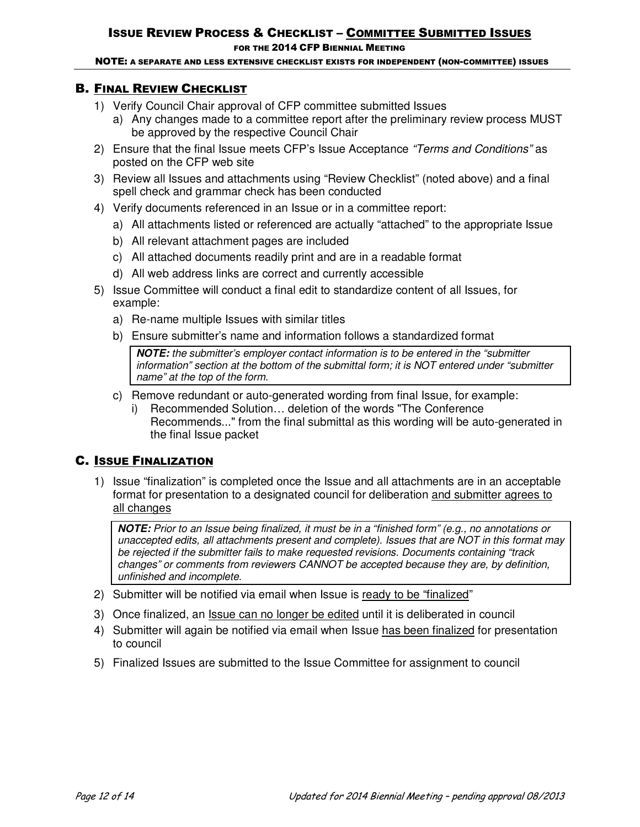### FOR THE 2014 CFP BIENNIAL MEETING

NOTE: A SEPARATE AND LESS EXTENSIVE CHECKLIST EXISTS FOR INDEPENDENT (NON-COMMITTEE) ISSUES

## B. FINAL REVIEW CHECKLIST

- 1) Verify Council Chair approval of CFP committee submitted Issues
	- a) Any changes made to a committee report after the preliminary review process MUST be approved by the respective Council Chair
- 2) Ensure that the final Issue meets CFP's Issue Acceptance *"Terms and Conditions"* as posted on the CFP web site
- 3) Review all Issues and attachments using "Review Checklist" (noted above) and a final spell check and grammar check has been conducted
- 4) Verify documents referenced in an Issue or in a committee report:
	- a) All attachments listed or referenced are actually "attached" to the appropriate Issue
	- b) All relevant attachment pages are included
	- c) All attached documents readily print and are in a readable format
	- d) All web address links are correct and currently accessible
- 5) Issue Committee will conduct a final edit to standardize content of all Issues, for example:
	- a) Re-name multiple Issues with similar titles
	- b) Ensure submitter's name and information follows a standardized format

*NOTE: the submitter's employer contact information is to be entered in the "submitter information" section at the bottom of the submittal form; it is NOT entered under "submitter name" at the top of the form.*

- c) Remove redundant or auto-generated wording from final Issue, for example:
	- i) Recommended Solution… deletion of the words "The Conference Recommends..." from the final submittal as this wording will be auto-generated in the final Issue packet

# C. ISSUE FINALIZATION

1) Issue "finalization" is completed once the Issue and all attachments are in an acceptable format for presentation to a designated council for deliberation and submitter agrees to all changes

*NOTE: Prior to an Issue being finalized, it must be in a "finished form" (e.g., no annotations or unaccepted edits, all attachments present and complete). Issues that are NOT in this format may be rejected if the submitter fails to make requested revisions. Documents containing "track changes" or comments from reviewers CANNOT be accepted because they are, by definition, unfinished and incomplete.* 

- 2) Submitter will be notified via email when Issue is ready to be "finalized"
- 3) Once finalized, an Issue can no longer be edited until it is deliberated in council
- 4) Submitter will again be notified via email when Issue has been finalized for presentation to council
- 5) Finalized Issues are submitted to the Issue Committee for assignment to council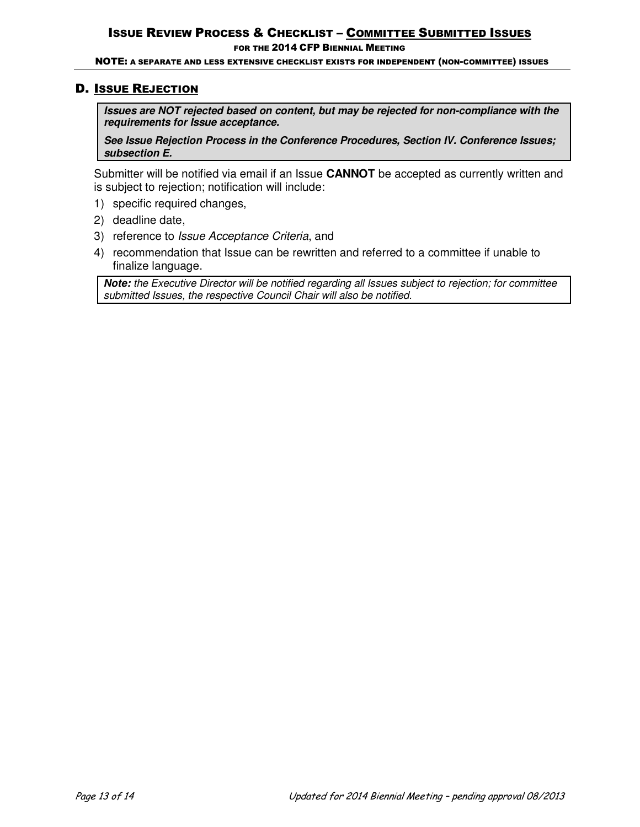FOR THE 2014 CFP BIENNIAL MEETING

NOTE: A SEPARATE AND LESS EXTENSIVE CHECKLIST EXISTS FOR INDEPENDENT (NON-COMMITTEE) ISSUES

## D. ISSUE REJECTION

*Issues are NOT rejected based on content, but may be rejected for non-compliance with the requirements for Issue acceptance.* 

*See Issue Rejection Process in the Conference Procedures, Section IV. Conference Issues; subsection E.* 

Submitter will be notified via email if an Issue **CANNOT** be accepted as currently written and is subject to rejection; notification will include:

- 1) specific required changes,
- 2) deadline date,
- 3) reference to *Issue Acceptance Criteria*, and
- 4) recommendation that Issue can be rewritten and referred to a committee if unable to finalize language.

*Note: the Executive Director will be notified regarding all Issues subject to rejection; for committee submitted Issues, the respective Council Chair will also be notified.*